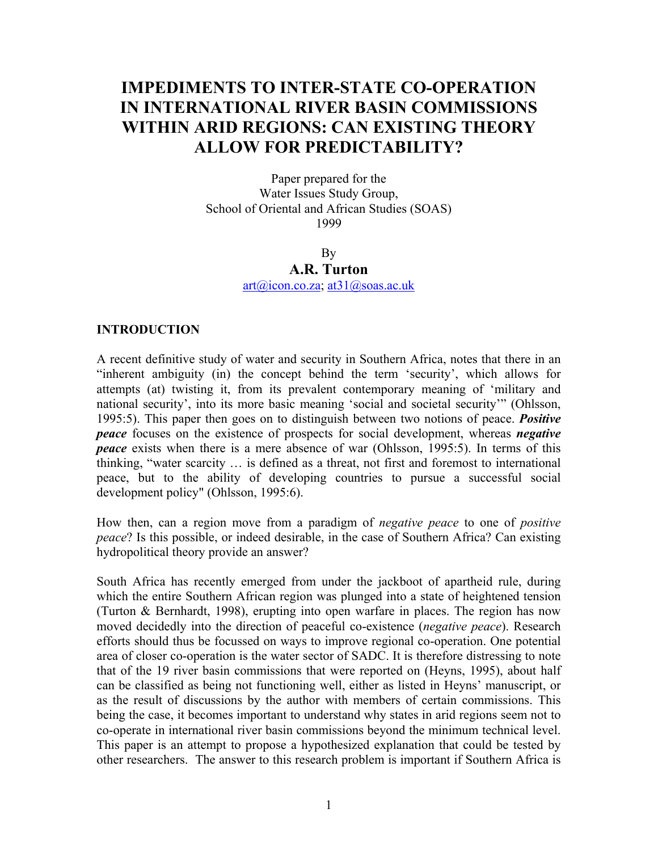# **IMPEDIMENTS TO INTER-STATE CO-OPERATION IN INTERNATIONAL RIVER BASIN COMMISSIONS WITHIN ARID REGIONS: CAN EXISTING THEORY ALLOW FOR PREDICTABILITY?**

Paper prepared for the Water Issues Study Group, School of Oriental and African Studies (SOAS) 1999

> By **A.R. Turton**  [art@icon.co.za;](mailto:art@icon.co.za) [at31@soas.ac.uk](mailto:at31@soas.ac.uk)

#### **INTRODUCTION**

A recent definitive study of water and security in Southern Africa, notes that there in an "inherent ambiguity (in) the concept behind the term 'security', which allows for attempts (at) twisting it, from its prevalent contemporary meaning of 'military and national security', into its more basic meaning 'social and societal security'" (Ohlsson, 1995:5). This paper then goes on to distinguish between two notions of peace. *Positive peace* focuses on the existence of prospects for social development, whereas *negative peace* exists when there is a mere absence of war (Ohlsson, 1995:5). In terms of this thinking, "water scarcity … is defined as a threat, not first and foremost to international peace, but to the ability of developing countries to pursue a successful social development policy" (Ohlsson, 1995:6).

How then, can a region move from a paradigm of *negative peace* to one of *positive peace*? Is this possible, or indeed desirable, in the case of Southern Africa? Can existing hydropolitical theory provide an answer?

South Africa has recently emerged from under the jackboot of apartheid rule, during which the entire Southern African region was plunged into a state of heightened tension (Turton & Bernhardt, 1998), erupting into open warfare in places. The region has now moved decidedly into the direction of peaceful co-existence (*negative peace*). Research efforts should thus be focussed on ways to improve regional co-operation. One potential area of closer co-operation is the water sector of SADC. It is therefore distressing to note that of the 19 river basin commissions that were reported on (Heyns, 1995), about half can be classified as being not functioning well, either as listed in Heyns' manuscript, or as the result of discussions by the author with members of certain commissions. This being the case, it becomes important to understand why states in arid regions seem not to co-operate in international river basin commissions beyond the minimum technical level. This paper is an attempt to propose a hypothesized explanation that could be tested by other researchers. The answer to this research problem is important if Southern Africa is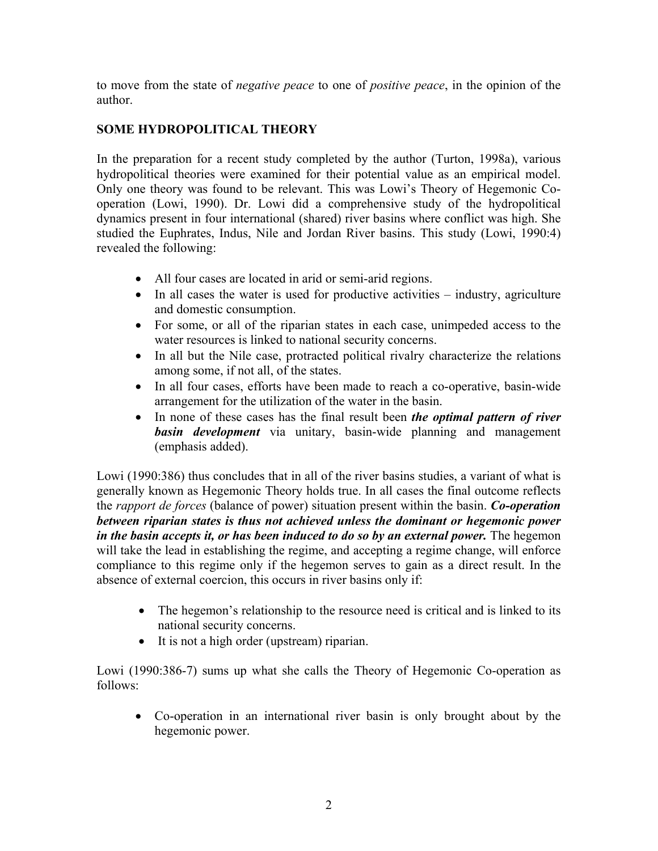to move from the state of *negative peace* to one of *positive peace*, in the opinion of the author.

# **SOME HYDROPOLITICAL THEORY**

In the preparation for a recent study completed by the author (Turton, 1998a), various hydropolitical theories were examined for their potential value as an empirical model. Only one theory was found to be relevant. This was Lowi's Theory of Hegemonic Cooperation (Lowi, 1990). Dr. Lowi did a comprehensive study of the hydropolitical dynamics present in four international (shared) river basins where conflict was high. She studied the Euphrates, Indus, Nile and Jordan River basins. This study (Lowi, 1990:4) revealed the following:

- All four cases are located in arid or semi-arid regions.
- In all cases the water is used for productive activities industry, agriculture and domestic consumption.
- For some, or all of the riparian states in each case, unimpeded access to the water resources is linked to national security concerns.
- In all but the Nile case, protracted political rivalry characterize the relations among some, if not all, of the states.
- In all four cases, efforts have been made to reach a co-operative, basin-wide arrangement for the utilization of the water in the basin.
- In none of these cases has the final result been *the optimal pattern of river basin development* via unitary, basin-wide planning and management (emphasis added).

Lowi (1990:386) thus concludes that in all of the river basins studies, a variant of what is generally known as Hegemonic Theory holds true. In all cases the final outcome reflects the *rapport de forces* (balance of power) situation present within the basin. *Co-operation between riparian states is thus not achieved unless the dominant or hegemonic power in the basin accepts it, or has been induced to do so by an external power.* The hegemon will take the lead in establishing the regime, and accepting a regime change, will enforce compliance to this regime only if the hegemon serves to gain as a direct result. In the absence of external coercion, this occurs in river basins only if:

- The hegemon's relationship to the resource need is critical and is linked to its national security concerns.
- It is not a high order (upstream) riparian.

Lowi (1990:386-7) sums up what she calls the Theory of Hegemonic Co-operation as follows:

• Co-operation in an international river basin is only brought about by the hegemonic power.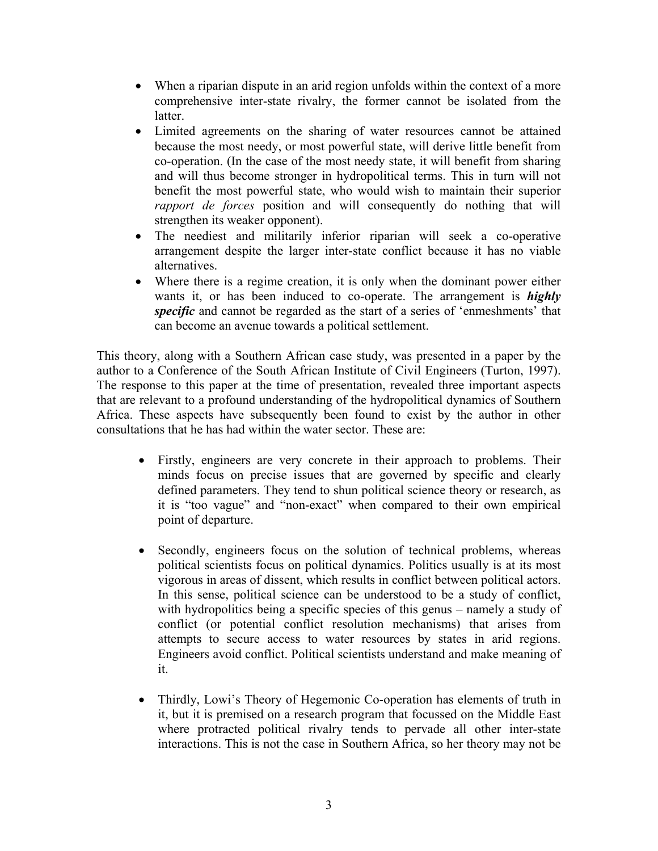- When a riparian dispute in an arid region unfolds within the context of a more comprehensive inter-state rivalry, the former cannot be isolated from the latter.
- Limited agreements on the sharing of water resources cannot be attained because the most needy, or most powerful state, will derive little benefit from co-operation. (In the case of the most needy state, it will benefit from sharing and will thus become stronger in hydropolitical terms. This in turn will not benefit the most powerful state, who would wish to maintain their superior *rapport de forces* position and will consequently do nothing that will strengthen its weaker opponent).
- The neediest and militarily inferior riparian will seek a co-operative arrangement despite the larger inter-state conflict because it has no viable alternatives.
- Where there is a regime creation, it is only when the dominant power either wants it, or has been induced to co-operate. The arrangement is *highly specific* and cannot be regarded as the start of a series of 'enmeshments' that can become an avenue towards a political settlement.

This theory, along with a Southern African case study, was presented in a paper by the author to a Conference of the South African Institute of Civil Engineers (Turton, 1997). The response to this paper at the time of presentation, revealed three important aspects that are relevant to a profound understanding of the hydropolitical dynamics of Southern Africa. These aspects have subsequently been found to exist by the author in other consultations that he has had within the water sector. These are:

- Firstly, engineers are very concrete in their approach to problems. Their minds focus on precise issues that are governed by specific and clearly defined parameters. They tend to shun political science theory or research, as it is "too vague" and "non-exact" when compared to their own empirical point of departure.
- Secondly, engineers focus on the solution of technical problems, whereas political scientists focus on political dynamics. Politics usually is at its most vigorous in areas of dissent, which results in conflict between political actors. In this sense, political science can be understood to be a study of conflict, with hydropolitics being a specific species of this genus – namely a study of conflict (or potential conflict resolution mechanisms) that arises from attempts to secure access to water resources by states in arid regions. Engineers avoid conflict. Political scientists understand and make meaning of it.
- Thirdly, Lowi's Theory of Hegemonic Co-operation has elements of truth in it, but it is premised on a research program that focussed on the Middle East where protracted political rivalry tends to pervade all other inter-state interactions. This is not the case in Southern Africa, so her theory may not be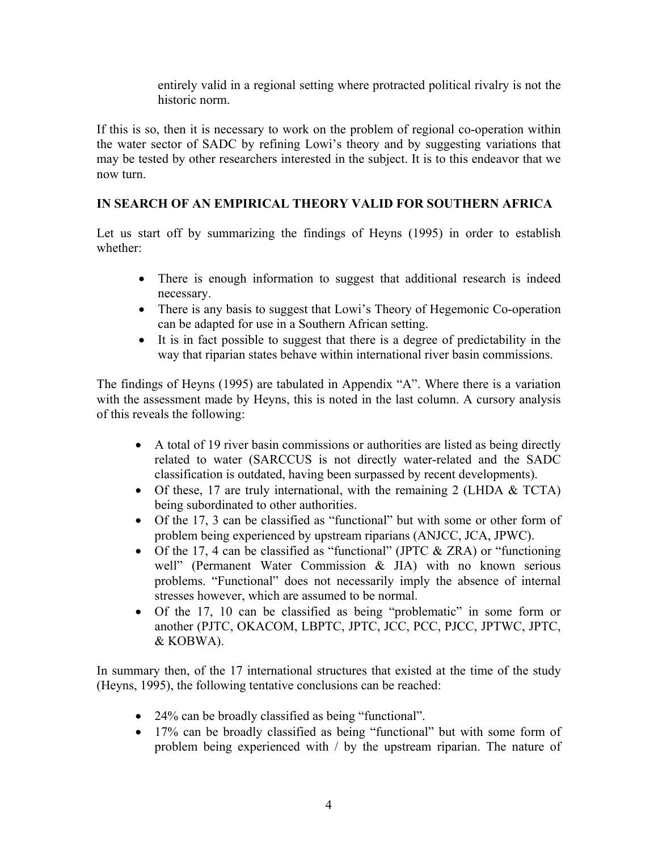entirely valid in a regional setting where protracted political rivalry is not the historic norm.

If this is so, then it is necessary to work on the problem of regional co-operation within the water sector of SADC by refining Lowi's theory and by suggesting variations that may be tested by other researchers interested in the subject. It is to this endeavor that we now turn.

## **IN SEARCH OF AN EMPIRICAL THEORY VALID FOR SOUTHERN AFRICA**

Let us start off by summarizing the findings of Heyns (1995) in order to establish whether:

- There is enough information to suggest that additional research is indeed necessary.
- There is any basis to suggest that Lowi's Theory of Hegemonic Co-operation can be adapted for use in a Southern African setting.
- It is in fact possible to suggest that there is a degree of predictability in the way that riparian states behave within international river basin commissions.

The findings of Heyns (1995) are tabulated in Appendix "A". Where there is a variation with the assessment made by Heyns, this is noted in the last column. A cursory analysis of this reveals the following:

- A total of 19 river basin commissions or authorities are listed as being directly related to water (SARCCUS is not directly water-related and the SADC classification is outdated, having been surpassed by recent developments).
- Of these, 17 are truly international, with the remaining 2 (LHDA & TCTA) being subordinated to other authorities.
- Of the 17, 3 can be classified as "functional" but with some or other form of problem being experienced by upstream riparians (ANJCC, JCA, JPWC).
- Of the 17, 4 can be classified as "functional" (JPTC & ZRA) or "functioning well" (Permanent Water Commission & JIA) with no known serious problems. "Functional" does not necessarily imply the absence of internal stresses however, which are assumed to be normal.
- Of the 17, 10 can be classified as being "problematic" in some form or another (PJTC, OKACOM, LBPTC, JPTC, JCC, PCC, PJCC, JPTWC, JPTC, & KOBWA).

In summary then, of the 17 international structures that existed at the time of the study (Heyns, 1995), the following tentative conclusions can be reached:

- 24% can be broadly classified as being "functional".
- 17% can be broadly classified as being "functional" but with some form of problem being experienced with / by the upstream riparian. The nature of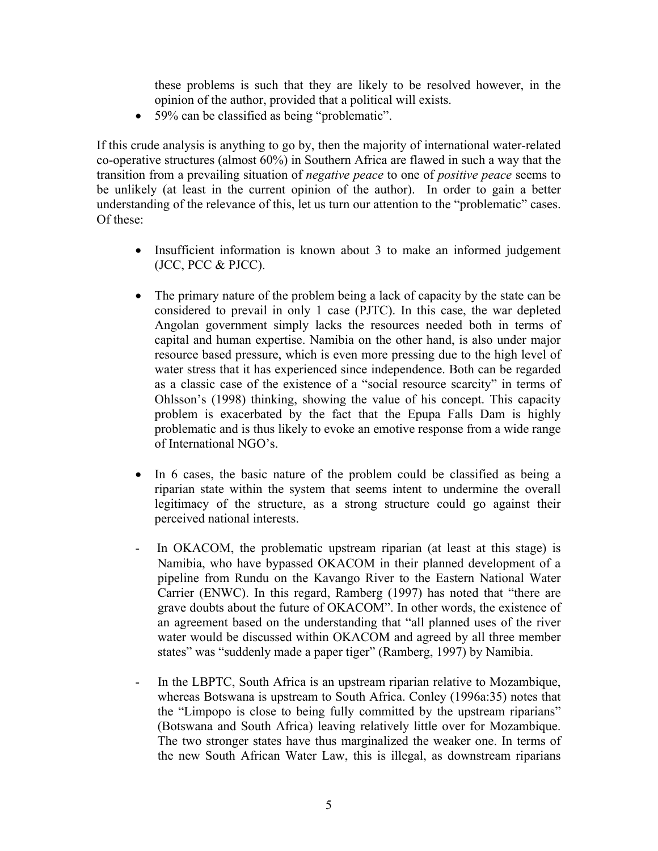these problems is such that they are likely to be resolved however, in the opinion of the author, provided that a political will exists.

• 59% can be classified as being "problematic".

If this crude analysis is anything to go by, then the majority of international water-related co-operative structures (almost 60%) in Southern Africa are flawed in such a way that the transition from a prevailing situation of *negative peace* to one of *positive peace* seems to be unlikely (at least in the current opinion of the author). In order to gain a better understanding of the relevance of this, let us turn our attention to the "problematic" cases. Of these:

- Insufficient information is known about 3 to make an informed judgement (JCC, PCC & PJCC).
- The primary nature of the problem being a lack of capacity by the state can be considered to prevail in only 1 case (PJTC). In this case, the war depleted Angolan government simply lacks the resources needed both in terms of capital and human expertise. Namibia on the other hand, is also under major resource based pressure, which is even more pressing due to the high level of water stress that it has experienced since independence. Both can be regarded as a classic case of the existence of a "social resource scarcity" in terms of Ohlsson's (1998) thinking, showing the value of his concept. This capacity problem is exacerbated by the fact that the Epupa Falls Dam is highly problematic and is thus likely to evoke an emotive response from a wide range of International NGO's.
- In 6 cases, the basic nature of the problem could be classified as being a riparian state within the system that seems intent to undermine the overall legitimacy of the structure, as a strong structure could go against their perceived national interests.
- In OKACOM, the problematic upstream riparian (at least at this stage) is Namibia, who have bypassed OKACOM in their planned development of a pipeline from Rundu on the Kavango River to the Eastern National Water Carrier (ENWC). In this regard, Ramberg (1997) has noted that "there are grave doubts about the future of OKACOM". In other words, the existence of an agreement based on the understanding that "all planned uses of the river water would be discussed within OKACOM and agreed by all three member states" was "suddenly made a paper tiger" (Ramberg, 1997) by Namibia.
- In the LBPTC, South Africa is an upstream riparian relative to Mozambique, whereas Botswana is upstream to South Africa. Conley (1996a:35) notes that the "Limpopo is close to being fully committed by the upstream riparians" (Botswana and South Africa) leaving relatively little over for Mozambique. The two stronger states have thus marginalized the weaker one. In terms of the new South African Water Law, this is illegal, as downstream riparians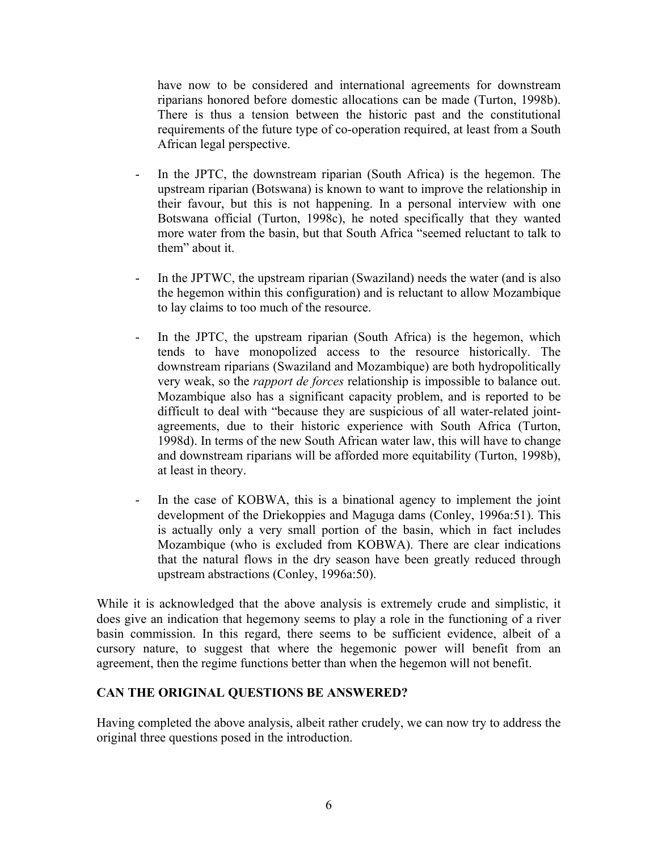have now to be considered and international agreements for downstream riparians honored before domestic allocations can be made (Turton, 1998b). There is thus a tension between the historic past and the constitutional requirements of the future type of co-operation required, at least from a South African legal perspective.

- In the JPTC, the downstream riparian (South Africa) is the hegemon. The upstream riparian (Botswana) is known to want to improve the relationship in their favour, but this is not happening. In a personal interview with one Botswana official (Turton, 1998c), he noted specifically that they wanted more water from the basin, but that South Africa "seemed reluctant to talk to them" about it.
- In the JPTWC, the upstream riparian (Swaziland) needs the water (and is also the hegemon within this configuration) and is reluctant to allow Mozambique to lay claims to too much of the resource.
- In the JPTC, the upstream riparian (South Africa) is the hegemon, which tends to have monopolized access to the resource historically. The downstream riparians (Swaziland and Mozambique) are both hydropolitically very weak, so the *rapport de forces* relationship is impossible to balance out. Mozambique also has a significant capacity problem, and is reported to be difficult to deal with "because they are suspicious of all water-related jointagreements, due to their historic experience with South Africa (Turton, 1998d). In terms of the new South African water law, this will have to change and downstream riparians will be afforded more equitability (Turton, 1998b), at least in theory.
- In the case of KOBWA, this is a binational agency to implement the joint development of the Driekoppies and Maguga dams (Conley, 1996a:51). This is actually only a very small portion of the basin, which in fact includes Mozambique (who is excluded from KOBWA). There are clear indications that the natural flows in the dry season have been greatly reduced through upstream abstractions (Conley, 1996a:50).

While it is acknowledged that the above analysis is extremely crude and simplistic, it does give an indication that hegemony seems to play a role in the functioning of a river basin commission. In this regard, there seems to be sufficient evidence, albeit of a cursory nature, to suggest that where the hegemonic power will benefit from an agreement, then the regime functions better than when the hegemon will not benefit.

## **CAN THE ORIGINAL QUESTIONS BE ANSWERED?**

Having completed the above analysis, albeit rather crudely, we can now try to address the original three questions posed in the introduction.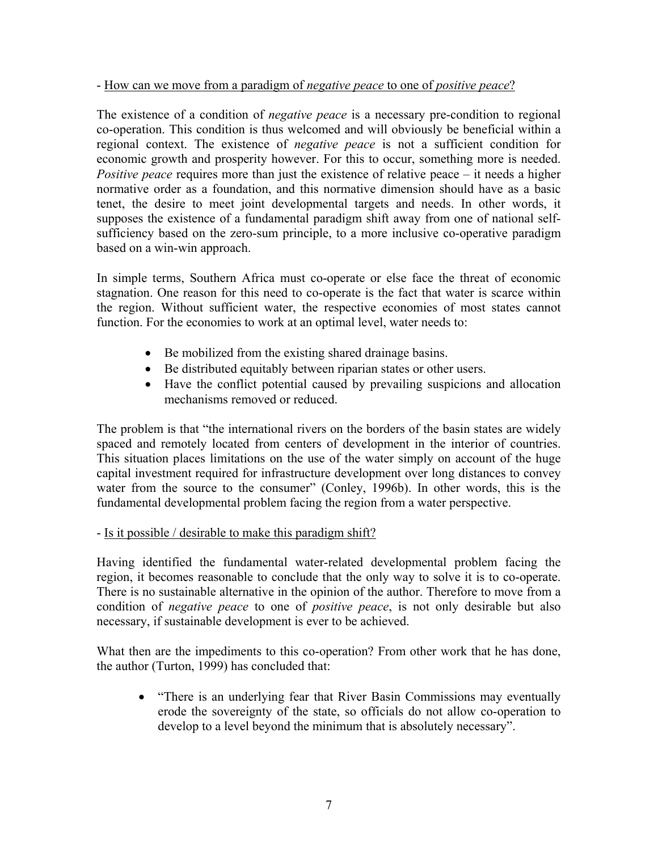#### - How can we move from a paradigm of *negative peace* to one of *positive peace*?

The existence of a condition of *negative peace* is a necessary pre-condition to regional co-operation. This condition is thus welcomed and will obviously be beneficial within a regional context. The existence of *negative peace* is not a sufficient condition for economic growth and prosperity however. For this to occur, something more is needed. *Positive peace* requires more than just the existence of relative peace – it needs a higher normative order as a foundation, and this normative dimension should have as a basic tenet, the desire to meet joint developmental targets and needs. In other words, it supposes the existence of a fundamental paradigm shift away from one of national selfsufficiency based on the zero-sum principle, to a more inclusive co-operative paradigm based on a win-win approach.

In simple terms, Southern Africa must co-operate or else face the threat of economic stagnation. One reason for this need to co-operate is the fact that water is scarce within the region. Without sufficient water, the respective economies of most states cannot function. For the economies to work at an optimal level, water needs to:

- Be mobilized from the existing shared drainage basins.
- Be distributed equitably between riparian states or other users.
- Have the conflict potential caused by prevailing suspicions and allocation mechanisms removed or reduced.

The problem is that "the international rivers on the borders of the basin states are widely spaced and remotely located from centers of development in the interior of countries. This situation places limitations on the use of the water simply on account of the huge capital investment required for infrastructure development over long distances to convey water from the source to the consumer" (Conley, 1996b). In other words, this is the fundamental developmental problem facing the region from a water perspective.

## - Is it possible / desirable to make this paradigm shift?

Having identified the fundamental water-related developmental problem facing the region, it becomes reasonable to conclude that the only way to solve it is to co-operate. There is no sustainable alternative in the opinion of the author. Therefore to move from a condition of *negative peace* to one of *positive peace*, is not only desirable but also necessary, if sustainable development is ever to be achieved.

What then are the impediments to this co-operation? From other work that he has done, the author (Turton, 1999) has concluded that:

• "There is an underlying fear that River Basin Commissions may eventually erode the sovereignty of the state, so officials do not allow co-operation to develop to a level beyond the minimum that is absolutely necessary".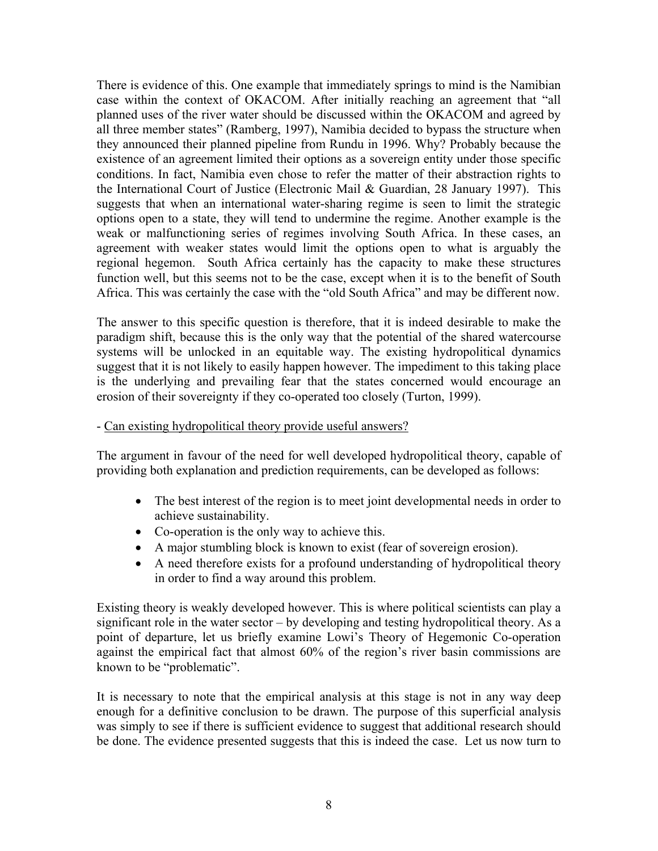There is evidence of this. One example that immediately springs to mind is the Namibian case within the context of OKACOM. After initially reaching an agreement that "all planned uses of the river water should be discussed within the OKACOM and agreed by all three member states" (Ramberg, 1997), Namibia decided to bypass the structure when they announced their planned pipeline from Rundu in 1996. Why? Probably because the existence of an agreement limited their options as a sovereign entity under those specific conditions. In fact, Namibia even chose to refer the matter of their abstraction rights to the International Court of Justice (Electronic Mail & Guardian, 28 January 1997). This suggests that when an international water-sharing regime is seen to limit the strategic options open to a state, they will tend to undermine the regime. Another example is the weak or malfunctioning series of regimes involving South Africa. In these cases, an agreement with weaker states would limit the options open to what is arguably the regional hegemon. South Africa certainly has the capacity to make these structures function well, but this seems not to be the case, except when it is to the benefit of South Africa. This was certainly the case with the "old South Africa" and may be different now.

The answer to this specific question is therefore, that it is indeed desirable to make the paradigm shift, because this is the only way that the potential of the shared watercourse systems will be unlocked in an equitable way. The existing hydropolitical dynamics suggest that it is not likely to easily happen however. The impediment to this taking place is the underlying and prevailing fear that the states concerned would encourage an erosion of their sovereignty if they co-operated too closely (Turton, 1999).

#### - Can existing hydropolitical theory provide useful answers?

The argument in favour of the need for well developed hydropolitical theory, capable of providing both explanation and prediction requirements, can be developed as follows:

- The best interest of the region is to meet joint developmental needs in order to achieve sustainability.
- Co-operation is the only way to achieve this.
- A major stumbling block is known to exist (fear of sovereign erosion).
- A need therefore exists for a profound understanding of hydropolitical theory in order to find a way around this problem.

Existing theory is weakly developed however. This is where political scientists can play a significant role in the water sector – by developing and testing hydropolitical theory. As a point of departure, let us briefly examine Lowi's Theory of Hegemonic Co-operation against the empirical fact that almost 60% of the region's river basin commissions are known to be "problematic".

It is necessary to note that the empirical analysis at this stage is not in any way deep enough for a definitive conclusion to be drawn. The purpose of this superficial analysis was simply to see if there is sufficient evidence to suggest that additional research should be done. The evidence presented suggests that this is indeed the case. Let us now turn to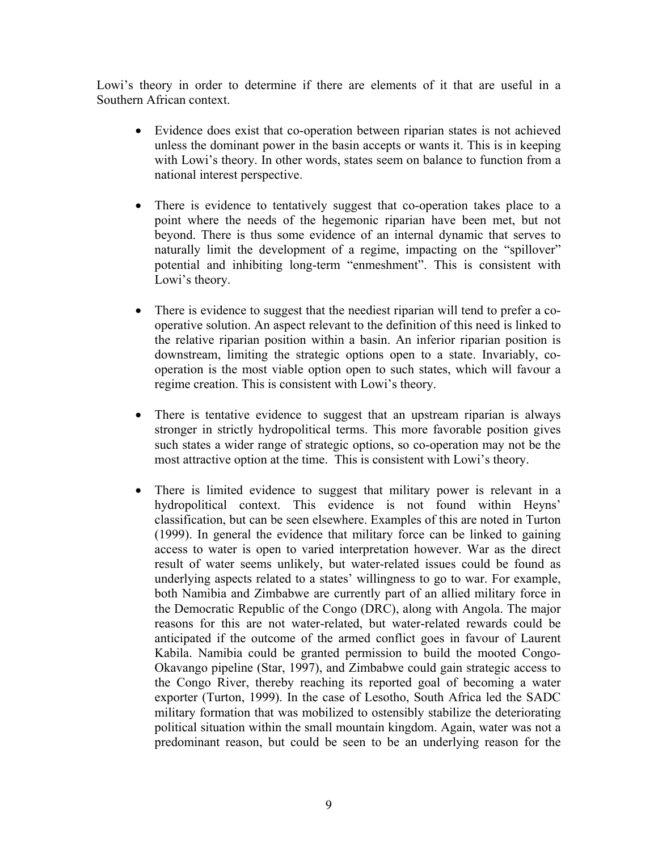Lowi's theory in order to determine if there are elements of it that are useful in a Southern African context.

- Evidence does exist that co-operation between riparian states is not achieved unless the dominant power in the basin accepts or wants it. This is in keeping with Lowi's theory. In other words, states seem on balance to function from a national interest perspective.
- There is evidence to tentatively suggest that co-operation takes place to a point where the needs of the hegemonic riparian have been met, but not beyond. There is thus some evidence of an internal dynamic that serves to naturally limit the development of a regime, impacting on the "spillover" potential and inhibiting long-term "enmeshment". This is consistent with Lowi's theory.
- There is evidence to suggest that the neediest riparian will tend to prefer a cooperative solution. An aspect relevant to the definition of this need is linked to the relative riparian position within a basin. An inferior riparian position is downstream, limiting the strategic options open to a state. Invariably, cooperation is the most viable option open to such states, which will favour a regime creation. This is consistent with Lowi's theory.
- There is tentative evidence to suggest that an upstream riparian is always stronger in strictly hydropolitical terms. This more favorable position gives such states a wider range of strategic options, so co-operation may not be the most attractive option at the time. This is consistent with Lowi's theory.
- There is limited evidence to suggest that military power is relevant in a hydropolitical context. This evidence is not found within Heyns' classification, but can be seen elsewhere. Examples of this are noted in Turton (1999). In general the evidence that military force can be linked to gaining access to water is open to varied interpretation however. War as the direct result of water seems unlikely, but water-related issues could be found as underlying aspects related to a states' willingness to go to war. For example, both Namibia and Zimbabwe are currently part of an allied military force in the Democratic Republic of the Congo (DRC), along with Angola. The major reasons for this are not water-related, but water-related rewards could be anticipated if the outcome of the armed conflict goes in favour of Laurent Kabila. Namibia could be granted permission to build the mooted Congo-Okavango pipeline (Star, 1997), and Zimbabwe could gain strategic access to the Congo River, thereby reaching its reported goal of becoming a water exporter (Turton, 1999). In the case of Lesotho, South Africa led the SADC military formation that was mobilized to ostensibly stabilize the deteriorating political situation within the small mountain kingdom. Again, water was not a predominant reason, but could be seen to be an underlying reason for the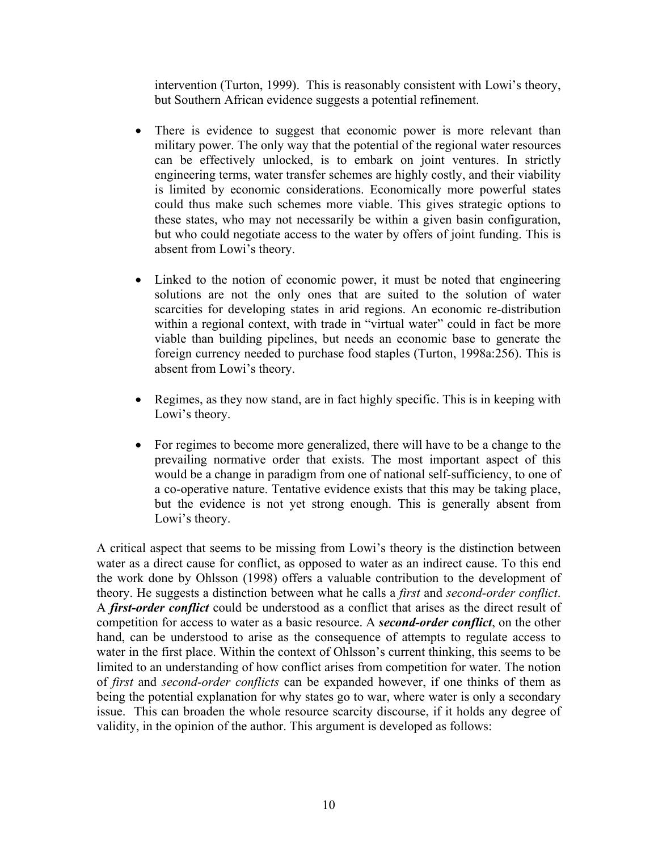intervention (Turton, 1999). This is reasonably consistent with Lowi's theory, but Southern African evidence suggests a potential refinement.

- There is evidence to suggest that economic power is more relevant than military power. The only way that the potential of the regional water resources can be effectively unlocked, is to embark on joint ventures. In strictly engineering terms, water transfer schemes are highly costly, and their viability is limited by economic considerations. Economically more powerful states could thus make such schemes more viable. This gives strategic options to these states, who may not necessarily be within a given basin configuration, but who could negotiate access to the water by offers of joint funding. This is absent from Lowi's theory.
- Linked to the notion of economic power, it must be noted that engineering solutions are not the only ones that are suited to the solution of water scarcities for developing states in arid regions. An economic re-distribution within a regional context, with trade in "virtual water" could in fact be more viable than building pipelines, but needs an economic base to generate the foreign currency needed to purchase food staples (Turton, 1998a:256). This is absent from Lowi's theory.
- Regimes, as they now stand, are in fact highly specific. This is in keeping with Lowi's theory.
- For regimes to become more generalized, there will have to be a change to the prevailing normative order that exists. The most important aspect of this would be a change in paradigm from one of national self-sufficiency, to one of a co-operative nature. Tentative evidence exists that this may be taking place, but the evidence is not yet strong enough. This is generally absent from Lowi's theory.

A critical aspect that seems to be missing from Lowi's theory is the distinction between water as a direct cause for conflict, as opposed to water as an indirect cause. To this end the work done by Ohlsson (1998) offers a valuable contribution to the development of theory. He suggests a distinction between what he calls a *first* and *second-order conflict*. A *first-order conflict* could be understood as a conflict that arises as the direct result of competition for access to water as a basic resource. A *second-order conflict*, on the other hand, can be understood to arise as the consequence of attempts to regulate access to water in the first place. Within the context of Ohlsson's current thinking, this seems to be limited to an understanding of how conflict arises from competition for water. The notion of *first* and *second-order conflicts* can be expanded however, if one thinks of them as being the potential explanation for why states go to war, where water is only a secondary issue. This can broaden the whole resource scarcity discourse, if it holds any degree of validity, in the opinion of the author. This argument is developed as follows: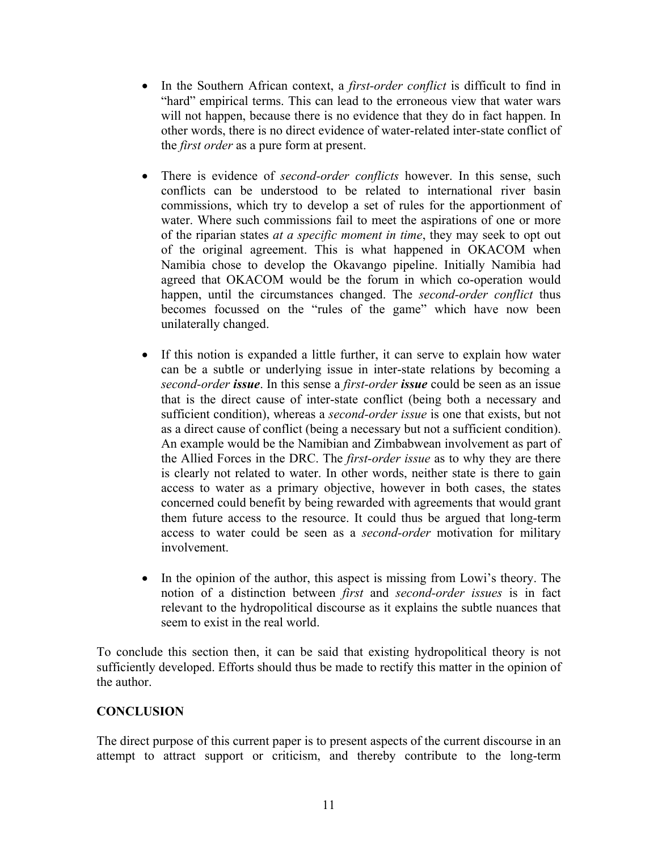- In the Southern African context, a *first-order conflict* is difficult to find in "hard" empirical terms. This can lead to the erroneous view that water wars will not happen, because there is no evidence that they do in fact happen. In other words, there is no direct evidence of water-related inter-state conflict of the *first order* as a pure form at present.
- There is evidence of *second-order conflicts* however. In this sense, such conflicts can be understood to be related to international river basin commissions, which try to develop a set of rules for the apportionment of water. Where such commissions fail to meet the aspirations of one or more of the riparian states *at a specific moment in time*, they may seek to opt out of the original agreement. This is what happened in OKACOM when Namibia chose to develop the Okavango pipeline. Initially Namibia had agreed that OKACOM would be the forum in which co-operation would happen, until the circumstances changed. The *second-order conflict* thus becomes focussed on the "rules of the game" which have now been unilaterally changed.
- If this notion is expanded a little further, it can serve to explain how water can be a subtle or underlying issue in inter-state relations by becoming a *second-order issue*. In this sense a *first-order issue* could be seen as an issue that is the direct cause of inter-state conflict (being both a necessary and sufficient condition), whereas a *second-order issue* is one that exists, but not as a direct cause of conflict (being a necessary but not a sufficient condition). An example would be the Namibian and Zimbabwean involvement as part of the Allied Forces in the DRC. The *first-order issue* as to why they are there is clearly not related to water. In other words, neither state is there to gain access to water as a primary objective, however in both cases, the states concerned could benefit by being rewarded with agreements that would grant them future access to the resource. It could thus be argued that long-term access to water could be seen as a *second-order* motivation for military involvement.
- In the opinion of the author, this aspect is missing from Lowi's theory. The notion of a distinction between *first* and *second-order issues* is in fact relevant to the hydropolitical discourse as it explains the subtle nuances that seem to exist in the real world.

To conclude this section then, it can be said that existing hydropolitical theory is not sufficiently developed. Efforts should thus be made to rectify this matter in the opinion of the author.

## **CONCLUSION**

The direct purpose of this current paper is to present aspects of the current discourse in an attempt to attract support or criticism, and thereby contribute to the long-term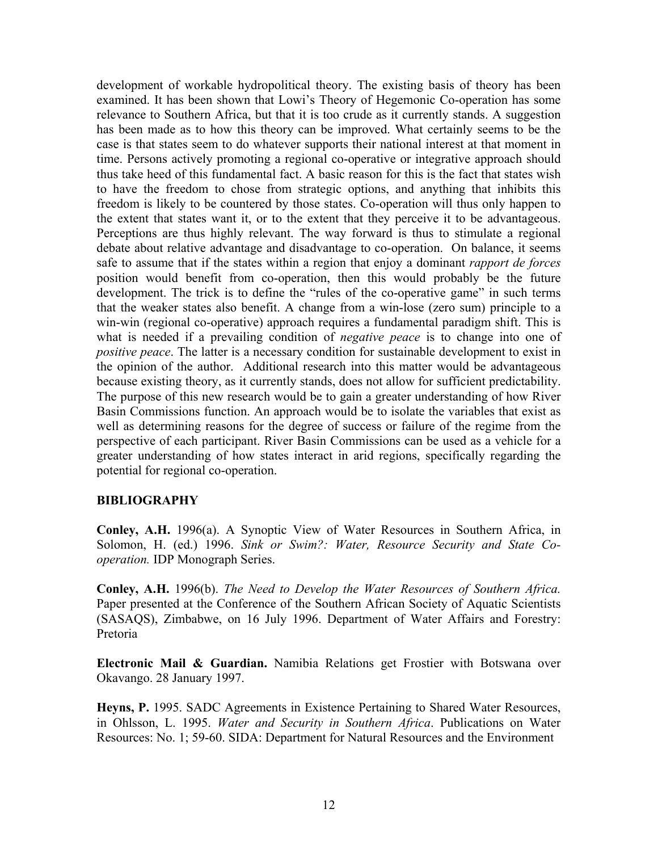development of workable hydropolitical theory. The existing basis of theory has been examined. It has been shown that Lowi's Theory of Hegemonic Co-operation has some relevance to Southern Africa, but that it is too crude as it currently stands. A suggestion has been made as to how this theory can be improved. What certainly seems to be the case is that states seem to do whatever supports their national interest at that moment in time. Persons actively promoting a regional co-operative or integrative approach should thus take heed of this fundamental fact. A basic reason for this is the fact that states wish to have the freedom to chose from strategic options, and anything that inhibits this freedom is likely to be countered by those states. Co-operation will thus only happen to the extent that states want it, or to the extent that they perceive it to be advantageous. Perceptions are thus highly relevant. The way forward is thus to stimulate a regional debate about relative advantage and disadvantage to co-operation. On balance, it seems safe to assume that if the states within a region that enjoy a dominant *rapport de forces*  position would benefit from co-operation, then this would probably be the future development. The trick is to define the "rules of the co-operative game" in such terms that the weaker states also benefit. A change from a win-lose (zero sum) principle to a win-win (regional co-operative) approach requires a fundamental paradigm shift. This is what is needed if a prevailing condition of *negative peace* is to change into one of *positive peace*. The latter is a necessary condition for sustainable development to exist in the opinion of the author. Additional research into this matter would be advantageous because existing theory, as it currently stands, does not allow for sufficient predictability. The purpose of this new research would be to gain a greater understanding of how River Basin Commissions function. An approach would be to isolate the variables that exist as well as determining reasons for the degree of success or failure of the regime from the perspective of each participant. River Basin Commissions can be used as a vehicle for a greater understanding of how states interact in arid regions, specifically regarding the potential for regional co-operation.

#### **BIBLIOGRAPHY**

**Conley, A.H.** 1996(a). A Synoptic View of Water Resources in Southern Africa, in Solomon, H. (ed.) 1996. *Sink or Swim?: Water, Resource Security and State Cooperation.* IDP Monograph Series.

**Conley, A.H.** 1996(b). *The Need to Develop the Water Resources of Southern Africa.*  Paper presented at the Conference of the Southern African Society of Aquatic Scientists (SASAQS), Zimbabwe, on 16 July 1996. Department of Water Affairs and Forestry: Pretoria

**Electronic Mail & Guardian.** Namibia Relations get Frostier with Botswana over Okavango. 28 January 1997.

**Heyns, P.** 1995. SADC Agreements in Existence Pertaining to Shared Water Resources, in Ohlsson, L. 1995. *Water and Security in Southern Africa*. Publications on Water Resources: No. 1; 59-60. SIDA: Department for Natural Resources and the Environment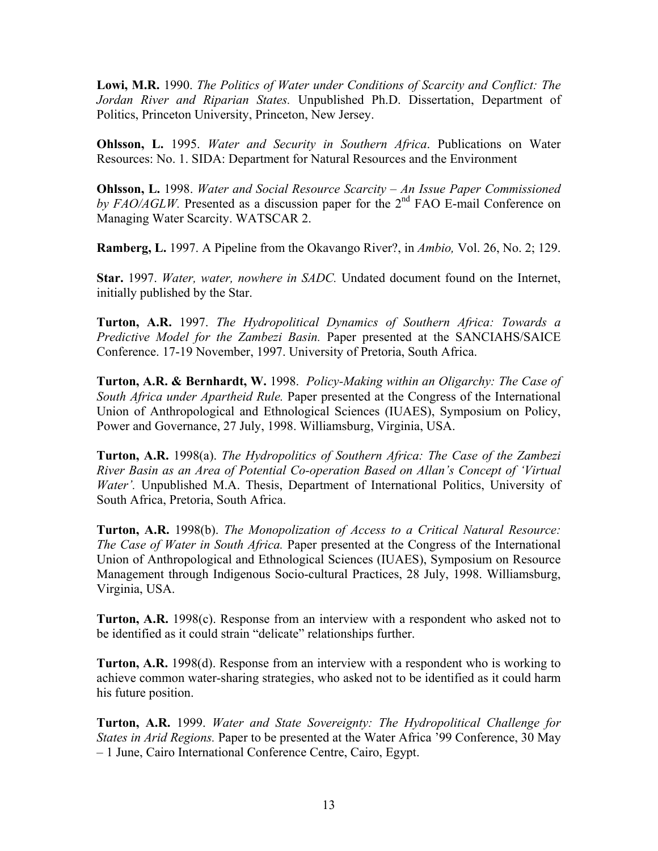**Lowi, M.R.** 1990. *The Politics of Water under Conditions of Scarcity and Conflict: The Jordan River and Riparian States.* Unpublished Ph.D. Dissertation, Department of Politics, Princeton University, Princeton, New Jersey.

**Ohlsson, L.** 1995. *Water and Security in Southern Africa*. Publications on Water Resources: No. 1. SIDA: Department for Natural Resources and the Environment

**Ohlsson, L.** 1998. *Water and Social Resource Scarcity – An Issue Paper Commissioned*  by FAO/AGLW. Presented as a discussion paper for the 2<sup>nd</sup> FAO E-mail Conference on Managing Water Scarcity. WATSCAR 2.

**Ramberg, L.** 1997. A Pipeline from the Okavango River?, in *Ambio,* Vol. 26, No. 2; 129.

**Star.** 1997. *Water, water, nowhere in SADC.* Undated document found on the Internet, initially published by the Star.

**Turton, A.R.** 1997. *The Hydropolitical Dynamics of Southern Africa: Towards a Predictive Model for the Zambezi Basin.* Paper presented at the SANCIAHS/SAICE Conference. 17-19 November, 1997. University of Pretoria, South Africa.

**Turton, A.R. & Bernhardt, W.** 1998. *Policy-Making within an Oligarchy: The Case of South Africa under Apartheid Rule.* Paper presented at the Congress of the International Union of Anthropological and Ethnological Sciences (IUAES), Symposium on Policy, Power and Governance, 27 July, 1998. Williamsburg, Virginia, USA.

**Turton, A.R.** 1998(a). *The Hydropolitics of Southern Africa: The Case of the Zambezi River Basin as an Area of Potential Co-operation Based on Allan's Concept of 'Virtual Water'.* Unpublished M.A. Thesis, Department of International Politics, University of South Africa, Pretoria, South Africa.

**Turton, A.R.** 1998(b). *The Monopolization of Access to a Critical Natural Resource: The Case of Water in South Africa.* Paper presented at the Congress of the International Union of Anthropological and Ethnological Sciences (IUAES), Symposium on Resource Management through Indigenous Socio-cultural Practices, 28 July, 1998. Williamsburg, Virginia, USA.

**Turton, A.R.** 1998(c). Response from an interview with a respondent who asked not to be identified as it could strain "delicate" relationships further.

**Turton, A.R.** 1998(d). Response from an interview with a respondent who is working to achieve common water-sharing strategies, who asked not to be identified as it could harm his future position.

**Turton, A.R.** 1999. *Water and State Sovereignty: The Hydropolitical Challenge for States in Arid Regions.* Paper to be presented at the Water Africa '99 Conference, 30 May – 1 June, Cairo International Conference Centre, Cairo, Egypt.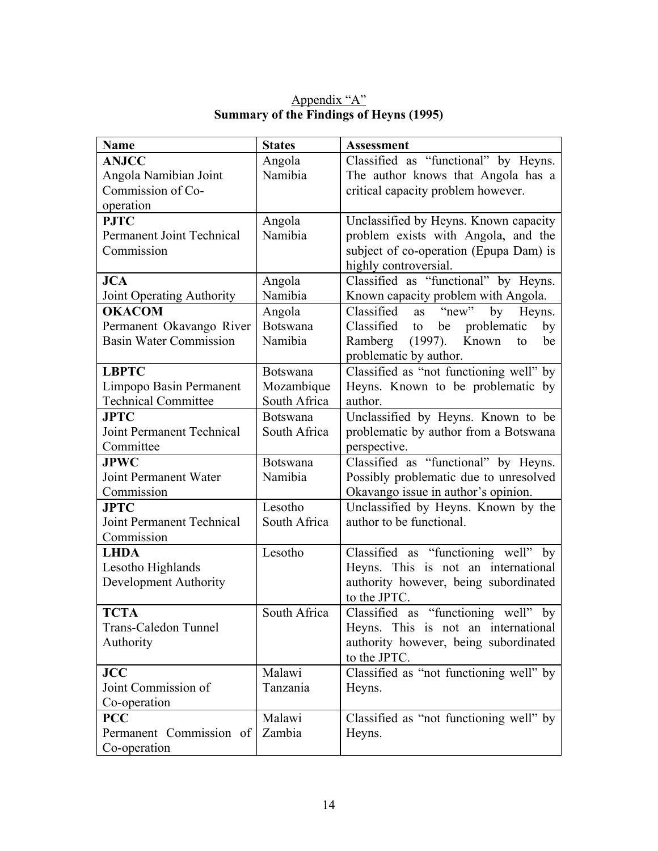| <b>Name</b>                   | <b>States</b>   | <b>Assessment</b>                         |
|-------------------------------|-----------------|-------------------------------------------|
| <b>ANJCC</b>                  | Angola          | Classified as "functional" by Heyns.      |
| Angola Namibian Joint         | Namibia         | The author knows that Angola has a        |
| Commission of Co-             |                 | critical capacity problem however.        |
| operation                     |                 |                                           |
| <b>PJTC</b>                   | Angola          | Unclassified by Heyns. Known capacity     |
| Permanent Joint Technical     | Namibia         | problem exists with Angola, and the       |
| Commission                    |                 | subject of co-operation (Epupa Dam) is    |
|                               |                 | highly controversial.                     |
| <b>JCA</b>                    | Angola          | Classified as "functional" by Heyns.      |
| Joint Operating Authority     | Namibia         | Known capacity problem with Angola.       |
| <b>OKACOM</b>                 | Angola          | "new"<br>Classified<br>Heyns.<br>by<br>as |
| Permanent Okavango River      | <b>Botswana</b> | be problematic<br>Classified<br>to<br>by  |
| <b>Basin Water Commission</b> | Namibia         | Ramberg (1997). Known<br>to<br>be         |
|                               |                 | problematic by author.                    |
| <b>LBPTC</b>                  | <b>Botswana</b> | Classified as "not functioning well" by   |
| Limpopo Basin Permanent       | Mozambique      | Heyns. Known to be problematic by         |
| <b>Technical Committee</b>    | South Africa    | author.                                   |
| <b>JPTC</b>                   | <b>Botswana</b> | Unclassified by Heyns. Known to be        |
| Joint Permanent Technical     | South Africa    | problematic by author from a Botswana     |
| Committee                     |                 | perspective.                              |
| <b>JPWC</b>                   | <b>Botswana</b> | Classified as "functional" by Heyns.      |
| Joint Permanent Water         | Namibia         | Possibly problematic due to unresolved    |
| Commission                    |                 | Okavango issue in author's opinion.       |
| <b>JPTC</b>                   | Lesotho         | Unclassified by Heyns. Known by the       |
| Joint Permanent Technical     | South Africa    | author to be functional.                  |
| Commission                    |                 |                                           |
| <b>LHDA</b>                   | Lesotho         | Classified as "functioning well" by       |
| Lesotho Highlands             |                 | Heyns. This is not an international       |
| Development Authority         |                 | authority however, being subordinated     |
|                               |                 | to the JPTC.                              |
| <b>TCTA</b>                   | South Africa    | Classified as "functioning well"<br>by    |
| <b>Trans-Caledon Tunnel</b>   |                 | Heyns. This is not an international       |
| Authority                     |                 | authority however, being subordinated     |
|                               |                 | to the JPTC.                              |
| <b>JCC</b>                    | Malawi          | Classified as "not functioning well" by   |
| Joint Commission of           | Tanzania        | Heyns.                                    |
| Co-operation                  |                 |                                           |
| <b>PCC</b>                    | Malawi          | Classified as "not functioning well" by   |
| Permanent Commission of       | Zambia          | Heyns.                                    |
| Co-operation                  |                 |                                           |

Appendix "A" **Summary of the Findings of Heyns (1995)**